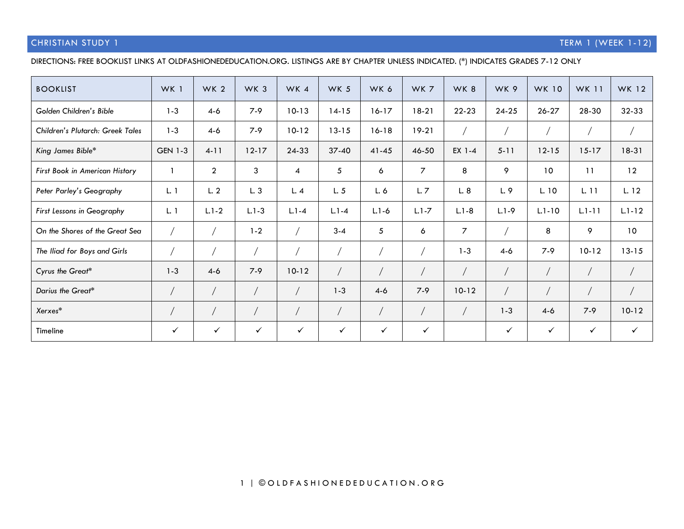### CHRISTIAN STUDY 1 **TERM 1** (WEEK 1-12)

### DIRECTIONS: FREE BOOKLIST LINKS AT OLDFASHIONEDEDUCATION.ORG. LISTINGS ARE BY CHAPTER UNLESS INDICATED. (\*) INDICATES GRADES 7-12 ONLY

| <b>BOOKLIST</b>                  | WK 1           | WK <sub>2</sub> | WK <sub>3</sub> | WK 4         | WK 5         | WK 6         | WK 7      | WK 8      | WK 9         | <b>WK 10</b> | <b>WK 11</b> | WK 12           |
|----------------------------------|----------------|-----------------|-----------------|--------------|--------------|--------------|-----------|-----------|--------------|--------------|--------------|-----------------|
| Golden Children's Bible          | $1 - 3$        | $4-6$           | $7-9$           | $10-13$      | $14-15$      | $16-17$      | $18-21$   | 22-23     | $24 - 25$    | $26 - 27$    | 28-30        | 32-33           |
| Children's Plutarch: Greek Tales | $1 - 3$        | $4 - 6$         | $7 - 9$         | $10-12$      | $13 - 15$    | $16 - 18$    | $19-21$   |           |              |              |              |                 |
| King James Bible*                | <b>GEN 1-3</b> | $4 - 11$        | $12 - 17$       | 24-33        | $37 - 40$    | $41 - 45$    | 46-50     | EX 1-4    | $5 - 11$     | $12 - 15$    | $15-17$      | $18-31$         |
| First Book in American History   |                | $\overline{2}$  | 3               | 4            | 5            | 6            | 7         | 8         | 9            | 10           | 11           | 12              |
| Peter Parley's Geography         | L.1            | L.2             | L.3             | L.4          | L.5          | L.6          | L.7       | L.8       | L.9          | L. 10        | L. 11        | L. 12           |
| First Lessons in Geography       | L.1            | $L.1 - 2$       | $L.1 - 3$       | $L.1 - 4$    | $L.1 - 4$    | $L.1 - 6$    | $L.1 - 7$ | $L.1 - 8$ | $L.1 - 9$    | $L.1 - 10$   | $L.1 - 11$   | $L.1 - 12$      |
| On the Shores of the Great Sea   |                |                 | $1 - 2$         |              | $3 - 4$      | 5            | 6         | 7         |              | 8            | 9            | 10 <sup>°</sup> |
| The Iliad for Boys and Girls     |                |                 |                 |              |              |              |           | $1 - 3$   | $4-6$        | $7-9$        | $10-12$      | $13 - 15$       |
| Cyrus the Great*                 | $1 - 3$        | $4-6$           | $7 - 9$         | $10-12$      |              |              |           |           |              |              |              |                 |
| Darius the Great*                |                |                 |                 |              | $1 - 3$      | $4-6$        | $7-9$     | $10 - 12$ |              |              |              |                 |
| Xerxes*                          |                |                 |                 |              |              |              |           |           | $1 - 3$      | $4-6$        | $7-9$        | $10 - 12$       |
| Timeline                         | ✓              | $\checkmark$    | $\checkmark$    | $\checkmark$ | $\checkmark$ | $\checkmark$ | ✓         |           | $\checkmark$ | $\checkmark$ | $\checkmark$ | $\checkmark$    |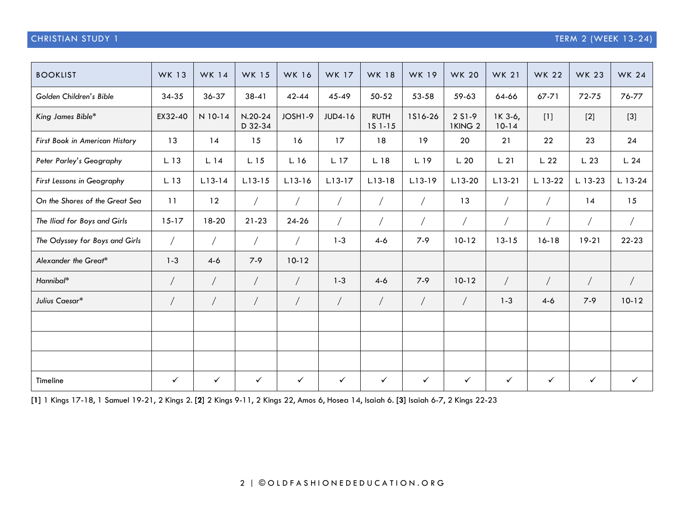## CHRISTIAN STUDY 1 TERM 2 (WEEK 13-24)

| <b>BOOKLIST</b>                | <b>WK 13</b> | <b>WK 14</b> | <b>WK 15</b>         | <b>WK 16</b> | <b>WK 17</b> | <b>WK 18</b>           | <b>WK 19</b> | <b>WK 20</b>                 | <b>WK 21</b>       | <b>WK 22</b> | <b>WK 23</b> | <b>WK 24</b> |
|--------------------------------|--------------|--------------|----------------------|--------------|--------------|------------------------|--------------|------------------------------|--------------------|--------------|--------------|--------------|
| Golden Children's Bible        | 34-35        | 36-37        | $38-41$              | $42 - 44$    | $45 - 49$    | 50-52                  | 53-58        | 59-63                        | 64-66              | 67-71        | 72-75        | 76-77        |
| King James Bible*              | EX32-40      | N 10-14      | $N.20-24$<br>D 32-34 | JOSH1-9      | JUD4-16      | <b>RUTH</b><br>15 1-15 | 1516-26      | 2 S1-9<br>1KING <sub>2</sub> | 1K 3-6,<br>$10-14$ | $[1]$        | $[2]$        | $[3]$        |
| First Book in American History | 13           | 14           | 15                   | 16           | 17           | 18                     | 19           | 20                           | 21                 | 22           | 23           | 24           |
| Peter Parley's Geography       | L. 13        | L. 14        | L. 15                | L. 16        | L. 17        | L. 18                  | L. 19        | L.20                         | L.21               | L. 22        | L.23         | L.24         |
| First Lessons in Geography     | L. 13        | $L.13 - 14$  | $L.13 - 15$          | $L.13 - 16$  | $L.13-17$    | $L.13-18$              | $L.13-19$    | $L.13-20$                    | $L.13-21$          | L. 13-22     | L. 13-23     | $L. 13-24$   |
| On the Shores of the Great Sea | 11           | 12           |                      |              |              |                        |              | 13                           |                    | $\sqrt{2}$   | 14           | 15           |
| The Iliad for Boys and Girls   | $15-17$      | 18-20        | $21 - 23$            | 24-26        |              |                        |              |                              |                    | $\sqrt{2}$   | $\sqrt{2}$   | $\bigg)$     |
| The Odyssey for Boys and Girls |              |              |                      |              | $1 - 3$      | $4-6$                  | $7 - 9$      | $10-12$                      | $13 - 15$          | $16-18$      | $19-21$      | 22-23        |
| Alexander the Great*           | $1 - 3$      | $4-6$        | $7 - 9$              | $10-12$      |              |                        |              |                              |                    |              |              |              |
| Hannibal*                      |              |              | $\sqrt{2}$           |              | $1 - 3$      | $4-6$                  | $7 - 9$      | $10-12$                      | $\sqrt{2}$         | $\sqrt{2}$   | $\sqrt{2}$   | $\sqrt{2}$   |
| Julius Caesar*                 |              |              |                      |              |              |                        |              |                              | $1 - 3$            | $4-6$        | $7 - 9$      | $10-12$      |
|                                |              |              |                      |              |              |                        |              |                              |                    |              |              |              |
|                                |              |              |                      |              |              |                        |              |                              |                    |              |              |              |
|                                |              |              |                      |              |              |                        |              |                              |                    |              |              |              |
| Timeline                       | $\checkmark$ | $\checkmark$ | $\checkmark$         | $\checkmark$ | $\checkmark$ | $\checkmark$           | $\checkmark$ | $\checkmark$                 | $\checkmark$       | $\checkmark$ | $\checkmark$ | $\checkmark$ |

**[1]** 1 Kings 17-18, 1 Samuel 19-21, 2 Kings 2. **[2]** 2 Kings 9-11, 2 Kings 22, Amos 6, Hosea 14, Isaiah 6. **[3]** Isaiah 6-7, 2 Kings 22-23